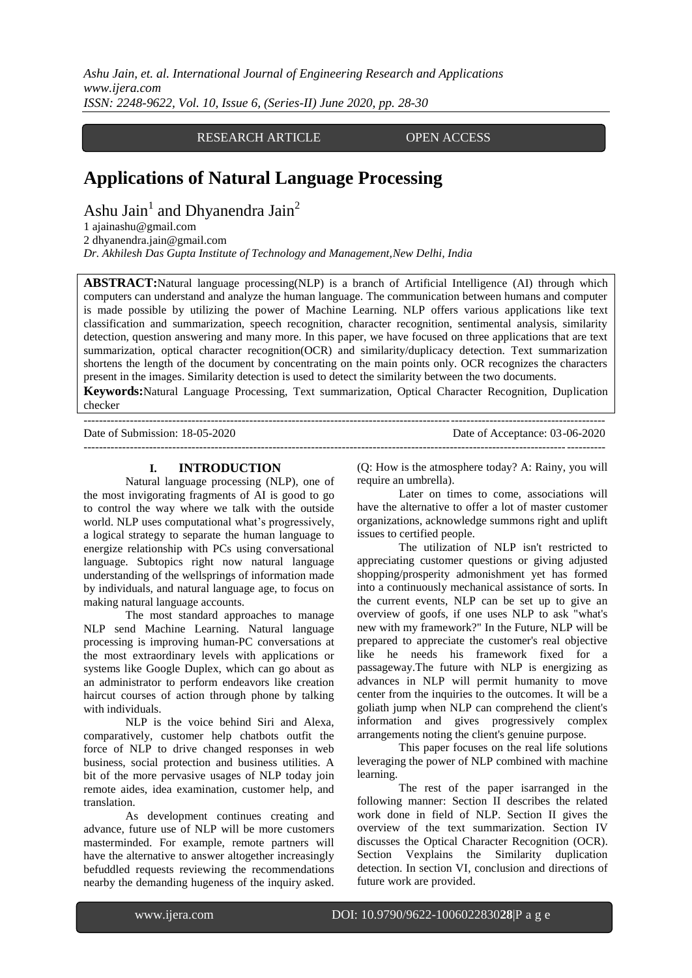*Ashu Jain, et. al. International Journal of Engineering Research and Applications www.ijera.com ISSN: 2248-9622, Vol. 10, Issue 6, (Series-II) June 2020, pp. 28-30*

# RESEARCH ARTICLE OPEN ACCESS

# **Applications of Natural Language Processing**

Ashu Jain<sup>1</sup> and Dhyanendra Jain<sup>2</sup>

2 dhyanendra.jain@gmail.com

*Dr. Akhilesh Das Gupta Institute of Technology and Management,New Delhi, India*

**ABSTRACT:**Natural language processing(NLP) is a branch of Artificial Intelligence (AI) through which computers can understand and analyze the human language. The communication between humans and computer is made possible by utilizing the power of Machine Learning. NLP offers various applications like text classification and summarization, speech recognition, character recognition, sentimental analysis, similarity detection, question answering and many more. In this paper, we have focused on three applications that are text summarization, optical character recognition(OCR) and similarity/duplicacy detection. Text summarization shortens the length of the document by concentrating on the main points only. OCR recognizes the characters present in the images. Similarity detection is used to detect the similarity between the two documents.

**Keywords:**Natural Language Processing, Text summarization, Optical Character Recognition, Duplication checker

| Date of Submission: 18-05-2020 | Date of Acceptance: 03-06-2020 |
|--------------------------------|--------------------------------|
|                                |                                |

#### **I. INTRODUCTION**

Natural language processing (NLP), one of the most invigorating fragments of AI is good to go to control the way where we talk with the outside world. NLP uses computational what's progressively, a logical strategy to separate the human language to energize relationship with PCs using conversational language. Subtopics right now natural language understanding of the wellsprings of information made by individuals, and natural language age, to focus on making natural language accounts.

The most standard approaches to manage NLP send Machine Learning. Natural language processing is improving human-PC conversations at the most extraordinary levels with applications or systems like Google Duplex, which can go about as an administrator to perform endeavors like creation haircut courses of action through phone by talking with individuals.

NLP is the voice behind Siri and Alexa, comparatively, customer help chatbots outfit the force of NLP to drive changed responses in web business, social protection and business utilities. A bit of the more pervasive usages of NLP today join remote aides, idea examination, customer help, and translation.

As development continues creating and advance, future use of NLP will be more customers masterminded. For example, remote partners will have the alternative to answer altogether increasingly befuddled requests reviewing the recommendations nearby the demanding hugeness of the inquiry asked.

(Q: How is the atmosphere today? A: Rainy, you will require an umbrella).

Later on times to come, associations will have the alternative to offer a lot of master customer organizations, acknowledge summons right and uplift issues to certified people.

The utilization of NLP isn't restricted to appreciating customer questions or giving adjusted shopping/prosperity admonishment yet has formed into a continuously mechanical assistance of sorts. In the current events, NLP can be set up to give an overview of goofs, if one uses NLP to ask "what's new with my framework?" In the Future, NLP will be prepared to appreciate the customer's real objective like he needs his framework fixed for a passageway.The future with NLP is energizing as advances in NLP will permit humanity to move center from the inquiries to the outcomes. It will be a goliath jump when NLP can comprehend the client's information and gives progressively complex arrangements noting the client's genuine purpose.

This paper focuses on the real life solutions leveraging the power of NLP combined with machine learning.

The rest of the paper isarranged in the following manner: Section II describes the related work done in field of NLP. Section II gives the overview of the text summarization. Section IV discusses the Optical Character Recognition (OCR). Section Vexplains the Similarity duplication detection. In section VI, conclusion and directions of future work are provided.

[<sup>1</sup> ajainashu@gmail.com](mailto:ajainashu@gmail.com)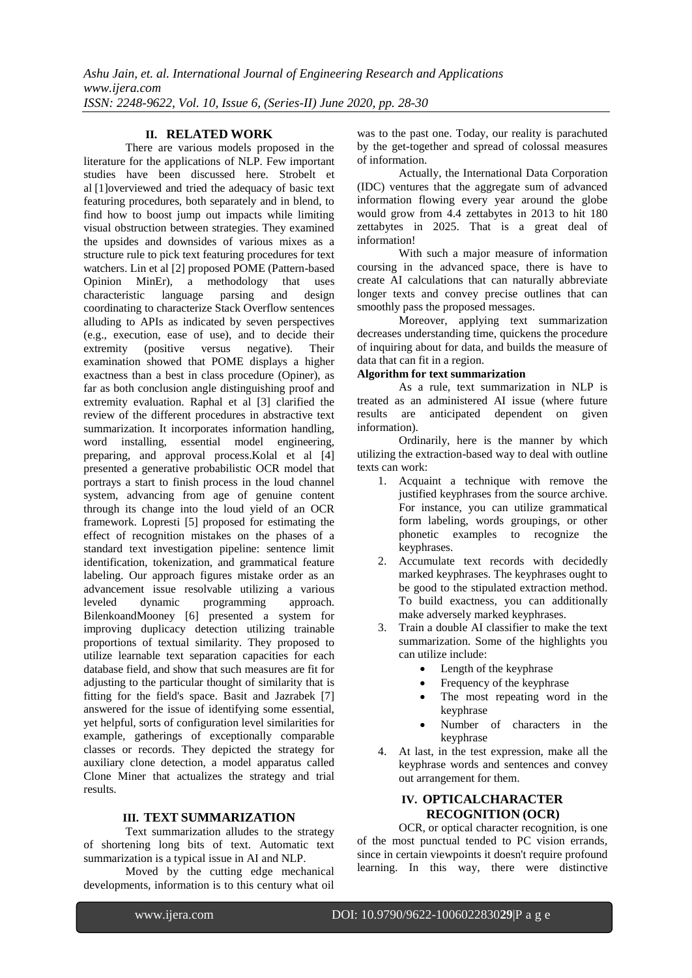# **II. RELATED WORK**

There are various models proposed in the literature for the applications of NLP. Few important studies have been discussed here. [Strobelt et](https://ieeexplore.ieee.org/author/38108845300)  [al](https://ieeexplore.ieee.org/author/38108845300) [1]overviewed and tried the adequacy of basic text featuring procedures, both separately and in blend, to find how to boost jump out impacts while limiting visual obstruction between strategies. They examined the upsides and downsides of various mixes as a structure rule to pick text featuring procedures for text watchers. Lin et al [2] proposed POME (Pattern-based Opinion MinEr), a methodology that uses characteristic language parsing and design coordinating to characterize Stack Overflow sentences alluding to APIs as indicated by seven perspectives (e.g., execution, ease of use), and to decide their extremity (positive versus negative). Their examination showed that POME displays a higher exactness than a best in class procedure (Opiner), as far as both conclusion angle distinguishing proof and extremity evaluation. Raphal et al [3] clarified the review of the different procedures in abstractive text summarization. It incorporates information handling, word installing, essential model engineering, preparing, and approval process.Kolal et al [4] presented a generative probabilistic OCR model that portrays a start to finish process in the loud channel system, advancing from age of genuine content through its change into the loud yield of an OCR framework. Lopresti [5] proposed for estimating the effect of recognition mistakes on the phases of a standard text investigation pipeline: sentence limit identification, tokenization, and grammatical feature labeling. Our approach figures mistake order as an advancement issue resolvable utilizing a various leveled dynamic programming approach. BilenkoandMooney [6] presented a system for improving duplicacy detection utilizing trainable proportions of textual similarity. They proposed to utilize learnable text separation capacities for each database field, and show that such measures are fit for adjusting to the particular thought of similarity that is fitting for the field's space. Basit and Jazrabek [7] answered for the issue of identifying some essential, yet helpful, sorts of configuration level similarities for example, gatherings of exceptionally comparable classes or records. They depicted the strategy for auxiliary clone detection, a model apparatus called Clone Miner that actualizes the strategy and trial results.

#### **III. TEXT SUMMARIZATION**

Text summarization alludes to the strategy of shortening long bits of text. Automatic text summarization is a typical issue in AI and NLP.

Moved by the cutting edge mechanical developments, information is to this century what oil

was to the past one. Today, our reality is parachuted by the get-together and spread of colossal measures of information.

Actually, the International Data Corporation (IDC) ventures that the aggregate sum of advanced information flowing every year around the globe would grow from 4.4 zettabytes in 2013 to hit 180 zettabytes in 2025. That is a great deal of information!

With such a major measure of information coursing in the advanced space, there is have to create AI calculations that can naturally abbreviate longer texts and convey precise outlines that can smoothly pass the proposed messages.

Moreover, applying text summarization decreases understanding time, quickens the procedure of inquiring about for data, and builds the measure of data that can fit in a region.

## **Algorithm for text summarization**

As a rule, text summarization in NLP is treated as an administered AI issue (where future results are anticipated dependent on given information).

Ordinarily, here is the manner by which utilizing the extraction-based way to deal with outline texts can work:

- 1. Acquaint a technique with remove the justified keyphrases from the source archive. For instance, you can utilize grammatical form labeling, words groupings, or other phonetic examples to recognize the keyphrases.
- 2. Accumulate text records with decidedly marked keyphrases. The keyphrases ought to be good to the stipulated extraction method. To build exactness, you can additionally make adversely marked keyphrases.
- 3. Train a double AI classifier to make the text summarization. Some of the highlights you can utilize include:
	- Length of the keyphrase
	- Frequency of the keyphrase
	- The most repeating word in the keyphrase
	- Number of characters in the keyphrase
- 4. At last, in the test expression, make all the keyphrase words and sentences and convey out arrangement for them.

# **IV. OPTICALCHARACTER RECOGNITION (OCR)**

OCR, or optical character recognition, is one of the most punctual tended to PC vision errands, since in certain viewpoints it doesn't require profound learning. In this way, there were distinctive